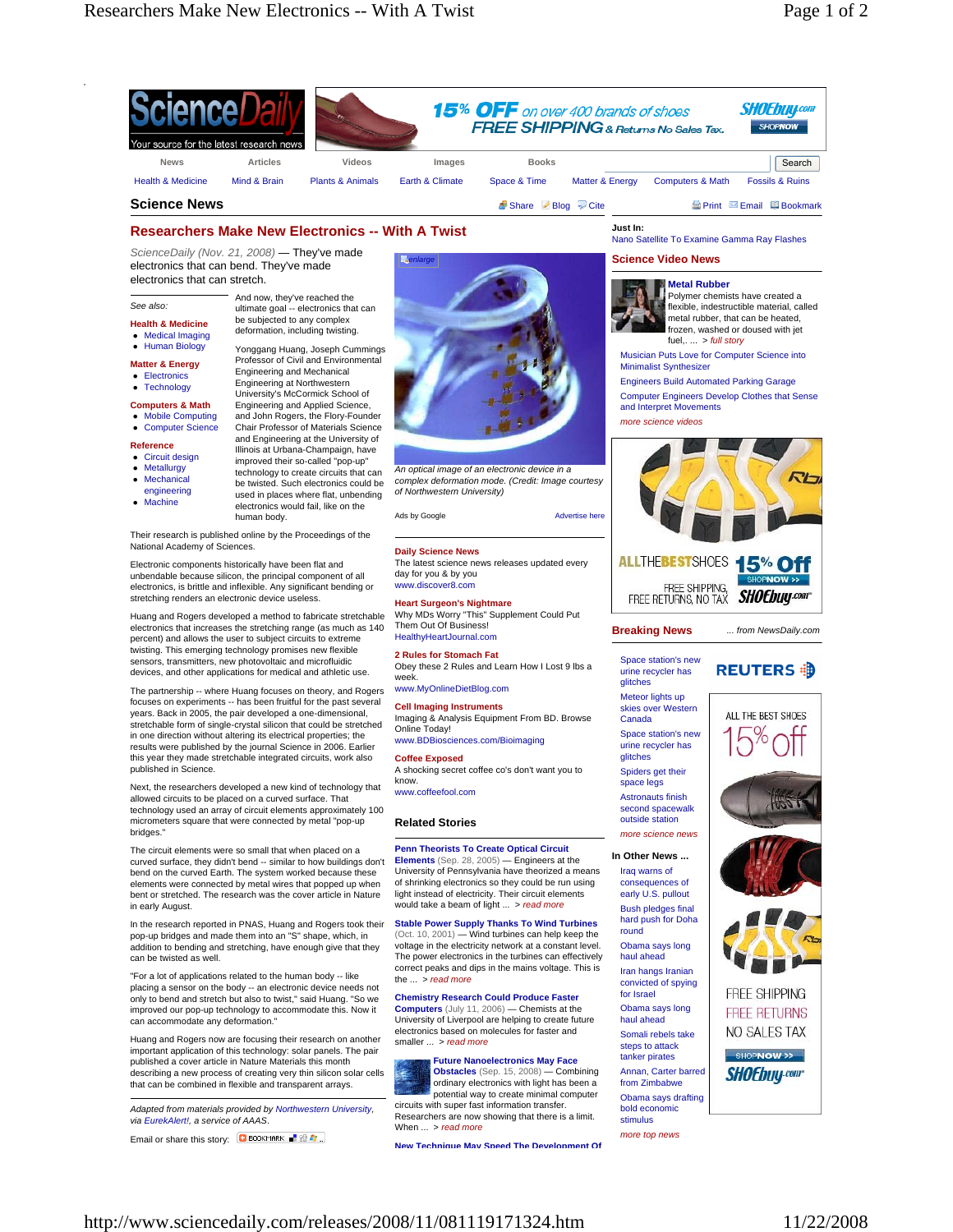

# **Researchers Make New Electronics -- With A Twist**

be subjected to any complex deformation, including twisting.

*ScienceDaily (Nov. 21, 2008)* — They've made electronics that can bend. They've made electronics that can stretch.

## *See also:*

- **Health & Medicine** • Medical Imaging
- Human Biology
- **Matter & Energy**
- **•** Electronics
- **Technology**
- **Computers & Math**
- Mobile Computing Computer Science
- 
- **Reference**
- Metallurgy
- Mechanical
- engineering
- $\bullet$  Machine
- 

Yonggang Huang, Joseph Cummings Professor of Civil and Environmental Engineering and Mechanical Engineering at Northwestern University's McCormick School of Engineering and Applied Science,

and John Rogers, the Flory-Founder Chair Professor of Materials Science

improved their so-called "pop-up" technology to create circuits that can be twisted. Such electronics could be used in places where flat, unbending

- and Engineering at the University of Illinois at Urbana-Champaign, have
- Circuit design
- 
- 
- 
- 
- electronics would fail, like on the human body.

Their research is published online by the Proceedings of the National Academy of Sciences.

Electronic components historically have been flat and unbendable because silicon, the principal component of all electronics, is brittle and inflexible. Any significant bending or stretching renders an electronic device useless.

Huang and Rogers developed a method to fabricate stretchable electronics that increases the stretching range (as much as 140 percent) and allows the user to subject circuits to extreme twisting. This emerging technology promises new flexible sensors, transmitters, new photovoltaic and microfluidic devices, and other applications for medical and athletic use.

The partnership -- where Huang focuses on theory, and Rogers focuses on experiments -- has been fruitful for the past several years. Back in 2005, the pair developed a one-dimensional, stretchable form of single-crystal silicon that could be stretched in one direction without altering its electrical properties; the results were published by the journal Science in 2006. Earlier this year they made stretchable integrated circuits, work also published in Science.

Next, the researchers developed a new kind of technology that allowed circuits to be placed on a curved surface. That technology used an array of circuit elements approximately 100 micrometers square that were connected by metal "pop-up bridges."

The circuit elements were so small that when placed on a curved surface, they didn't bend -- similar to how buildings don't bend on the curved Earth. The system worked because these elements were connected by metal wires that popped up when bent or stretched. The research was the cover article in Nature in early August.

In the research reported in PNAS, Huang and Rogers took their pop-up bridges and made them into an "S" shape, which, in addition to bending and stretching, have enough give that they can be twisted as well.

"For a lot of applications related to the human body -- like placing a sensor on the body -- an electronic device needs not only to bend and stretch but also to twist," said Huang. "So we improved our pop-up technology to accommodate this. Now it can accommodate any deformation."

Huang and Rogers now are focusing their research on another important application of this technology: solar panels. The pair published a cover article in Nature Materials this month describing a new process of creating very thin silicon solar cells that can be combined in flexible and transparent arrays.

*Adapted from materials provided by Northwestern University, via EurekAlert!, a service of AAAS*.

Email or share this story: C BOOKMARK RE



*An optical image of an electronic device in a complex deformation mode. (Credit: Image courtesy of Northwestern University)*



## **Daily Science News**

The latest science news releases updated every day for you & by you www.discover8.com

**Heart Surgeon's Nightmare** Why MDs Worry "This" Supplement Could Put Them Out Of Business! HealthyHeartJournal.com

**2 Rules for Stomach Fat** Obey these 2 Rules and Learn How I Lost 9 lbs a week. www.MyOnlineDietBlog.com

**Cell Imaging Instruments**

Imaging & Analysis Equipment From BD. Browse Online Today! www.BDBiosciences.com/Bioimaging

# **Coffee Exposed**

A shocking secret coffee co's don't want you to know. www.coffeefool.com

#### **Related Stories**

#### **Penn Theorists To Create Optical Circuit Elements** (Sep. 28, 2005) — Engineers at the

University of Pennsylvania have theorized a means of shrinking electronics so they could be run using light instead of electricity. Their circuit elements would take a beam of light ... > *read more*

**Stable Power Supply Thanks To Wind Turbines** (Oct. 10, 2001) — Wind turbines can help keep the voltage in the electricity network at a constant level. The power electronics in the turbines can effectively correct peaks and dips in the mains voltage. This is the ... > *read more*

**Chemistry Research Could Produce Faster Computers** (July 11, 2006) — Chemists at the University of Liverpool are helping to create future electronics based on molecules for faster and smaller ... > *read more*

# **Future Nanoelectronics May Face Obstacles** (Sep. 15, 2008) — Combining

ordinary electronics with light has been a potential way to create minimal computer<br>circuits with super fast information transfer. Researchers are now showing that there is a limit. When ... > *read more*

**New Technique May Speed The Development Of**

Nano Satellite To Examine Gamma Ray Flashes

# **Science Video News**



frozen, washed or doused with iet fuel,. ... > *full story* Musician Puts Love for Computer Science into

Minimalist Synthesizer

Engineers Build Automated Parking Garage Computer Engineers Develop Clothes that Sense and Interpret Movements

*more science videos*



**Breaking News**

glitches

Canada

glitches

space legs

Iraq warns of

round

haul ahead

for Israel

haul ahead

tanker pirates

stimulus

*... from NewsDaily.com*